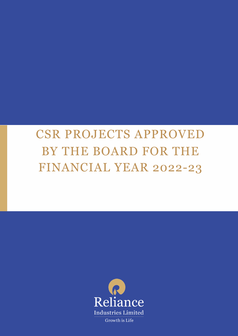# CSR PROJECTS APPROVED BY THE BOARD FOR THE FINANCIAL YEAR 2022-23

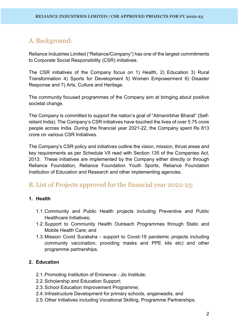# A. Background:

Reliance Industries Limited ("Reliance/Company") has one of the largest commitments to Corporate Social Responsibility (CSR) initiatives.

The CSR initiatives of the Company focus on 1) Health, 2) Education 3) Rural Transformation 4) Sports for Development 5) Women Empowerment 6) Disaster Response and 7) Arts, Culture and Heritage.

The community focused programmes of the Company aim at bringing about positive societal change.

The Company is committed to support the nation's goal of "Atmanirbhar Bharat" (Selfreliant India). The Company's CSR initiatives have touched the lives of over 5.75 crore people across India. During the financial year 2021-22, the Company spent Rs 813 crore on various CSR Initiatives.

The Company's CSR policy and initiatives outline the vision, mission, thrust areas and key requirements as per Schedule VII read with Section 135 of the Companies Act, 2013. These initiatives are implemented by the Company either directly or through Reliance Foundation, Reliance Foundation Youth Sports, Reliance Foundation Institution of Education and Research and other implementing agencies.

# B. List of Projects approved for the financial year 2022-23:

# **1. Health**

- 1.1.Community and Public Health projects including Preventive and Public Healthcare Initiatives;
- 1.2.Support to Community Health Outreach Programmes through Static and Mobile Health Care; and
- 1.3.Mission Covid Suraksha support to Covid-19 pandemic projects including community vaccination, providing masks and PPE kits etc) and other programme partnerships.

# **2. Education**

- 2.1.Promoting Institution of Eminence Jio Institute;
- 2.2.Scholarship and Education Support;
- 2.3.School Education Improvement Programme;
- 2.4.Infrastructure Development for primary schools, anganwadis, and
- 2.5.Other Initiatives including Vocational Skilling, Programme Partnerships.